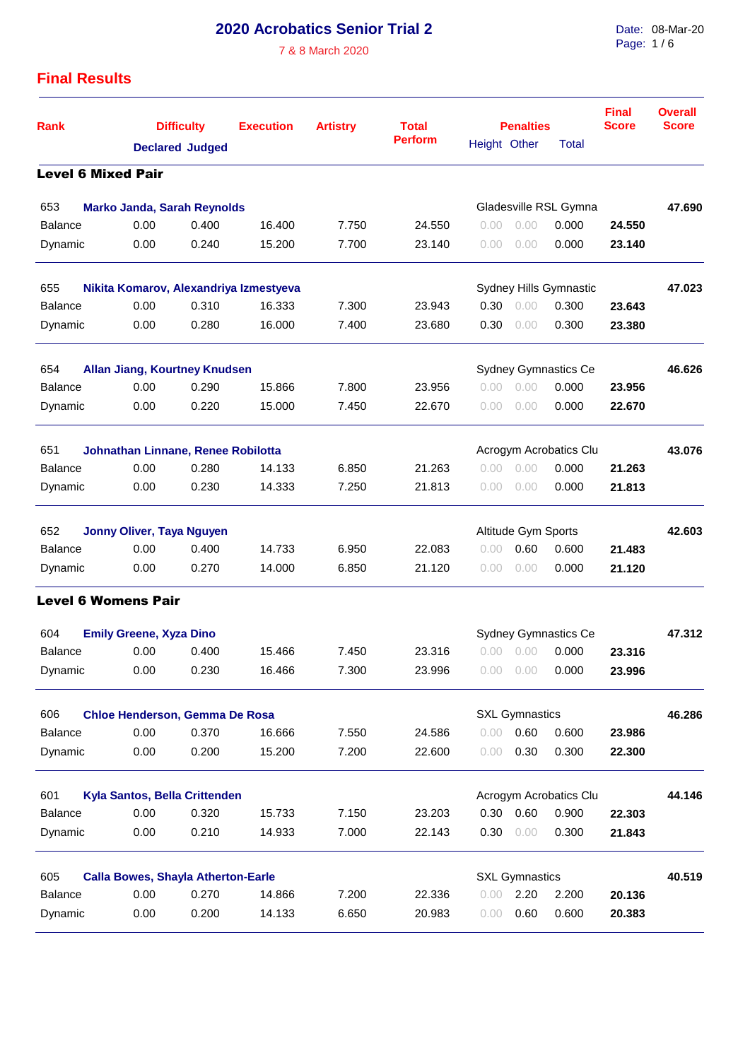## **2020 Acrobatics Senior Trial 2**

7 & 8 March 2020

Date: 08-Mar-20 Page: 1 / 6

## **Final Results**

| <b>Rank</b>    | <b>Difficulty</b>                         |                               | <b>Execution</b> | <b>Artistry</b> | <b>Total</b>          |              | <b>Penalties</b>            | <b>Final</b><br><b>Score</b> | <b>Overall</b><br><b>Score</b> |        |
|----------------|-------------------------------------------|-------------------------------|------------------|-----------------|-----------------------|--------------|-----------------------------|------------------------------|--------------------------------|--------|
|                |                                           | <b>Declared Judged</b>        |                  |                 | <b>Perform</b>        | Height Other |                             | Total                        |                                |        |
|                | <b>Level 6 Mixed Pair</b>                 |                               |                  |                 |                       |              |                             |                              |                                |        |
| 653            | <b>Marko Janda, Sarah Reynolds</b>        |                               |                  |                 |                       |              |                             | Gladesville RSL Gymna        |                                | 47.690 |
| <b>Balance</b> | 0.00                                      | 0.400                         | 16.400           | 7.750           | 24.550                | 0.00         | 0.00                        | 0.000                        | 24.550                         |        |
| Dynamic        | 0.00                                      | 0.240                         | 15.200           | 7.700           | 23.140                | 0.00         | 0.00                        | 0.000                        | 23.140                         |        |
| 655            | Nikita Komarov, Alexandriya Izmestyeva    |                               |                  |                 |                       |              |                             | Sydney Hills Gymnastic       |                                | 47.023 |
| <b>Balance</b> | 0.00                                      | 0.310                         | 16.333           | 7.300           | 23.943                | 0.30         | 0.00                        | 0.300                        | 23.643                         |        |
| Dynamic        | 0.00                                      | 0.280                         | 16.000           | 7.400           | 23.680                | 0.30         | 0.00                        | 0.300                        | 23.380                         |        |
| 654            |                                           | Allan Jiang, Kourtney Knudsen |                  |                 |                       |              | <b>Sydney Gymnastics Ce</b> |                              | 46.626                         |        |
| <b>Balance</b> | 0.00                                      | 0.290                         | 15.866           | 7.800           | 23.956                | 0.00         | 0.00                        | 0.000                        | 23.956                         |        |
| Dynamic        | 0.00                                      | 0.220                         | 15.000           | 7.450           | 22.670                | 0.00         | 0.00                        | 0.000                        | 22.670                         |        |
| 651            | <b>Johnathan Linnane, Renee Robilotta</b> |                               |                  |                 |                       |              |                             | Acrogym Acrobatics Clu       |                                | 43.076 |
| <b>Balance</b> | 0.00                                      | 0.280                         | 14.133           | 6.850           | 21.263                | 0.00         | 0.00                        | 0.000                        | 21.263                         |        |
| Dynamic        | 0.00                                      | 0.230                         | 14.333           | 7.250           | 21.813                | 0.00         | 0.00                        | 0.000                        | 21.813                         |        |
| 652            | Jonny Oliver, Taya Nguyen                 |                               |                  |                 |                       |              | Altitude Gym Sports         |                              |                                | 42.603 |
| <b>Balance</b> | 0.00                                      | 0.400                         | 14.733           | 6.950           | 22.083                | 0.00         | 0.60                        | 0.600                        | 21.483                         |        |
| Dynamic        | 0.00                                      | 0.270                         | 14.000           | 6.850           | 21.120                | 0.00         | 0.00                        | 0.000                        | 21.120                         |        |
|                | <b>Level 6 Womens Pair</b>                |                               |                  |                 |                       |              |                             |                              |                                |        |
| 604            | <b>Emily Greene, Xyza Dino</b>            |                               |                  |                 |                       |              | <b>Sydney Gymnastics Ce</b> |                              | 47.312                         |        |
| <b>Balance</b> | 0.00                                      | 0.400                         | 15.466           | 7.450           | 23.316                | 0.00         | 0.00                        | 0.000                        | 23.316                         |        |
| Dynamic        | 0.00                                      | 0.230                         | 16.466           | 7.300           | 23.996                |              | 0.00 0.00                   | 0.000                        | 23.996                         |        |
| 606            | Chloe Henderson, Gemma De Rosa            |                               |                  |                 | <b>SXL Gymnastics</b> |              | 46.286                      |                              |                                |        |
| <b>Balance</b> | 0.00                                      | 0.370                         | 16.666           | 7.550           | 24.586                | 0.00         | 0.60                        | 0.600                        | 23.986                         |        |
| Dynamic        | 0.00                                      | 0.200                         | 15.200           | 7.200           | 22.600                | 0.00         | 0.30                        | 0.300                        | 22.300                         |        |
| 601            | Kyla Santos, Bella Crittenden             |                               |                  |                 |                       |              |                             | Acrogym Acrobatics Clu       |                                | 44.146 |
| <b>Balance</b> | 0.00                                      | 0.320                         | 15.733           | 7.150           | 23.203                | 0.30         | 0.60                        | 0.900                        | 22.303                         |        |
| Dynamic        | 0.00                                      | 0.210                         | 14.933           | 7.000           | 22.143                | 0.30         | 0.00                        | 0.300                        | 21.843                         |        |
| 605            | <b>Calla Bowes, Shayla Atherton-Earle</b> |                               |                  |                 |                       |              | <b>SXL Gymnastics</b>       |                              |                                | 40.519 |
| <b>Balance</b> | 0.00                                      | 0.270                         | 14.866           | 7.200           | 22.336                | 0.00         | 2.20                        | 2.200                        | 20.136                         |        |
| Dynamic        | 0.00                                      | 0.200                         | 14.133           | 6.650           | 20.983                | 0.00         | 0.60                        | 0.600                        | 20.383                         |        |